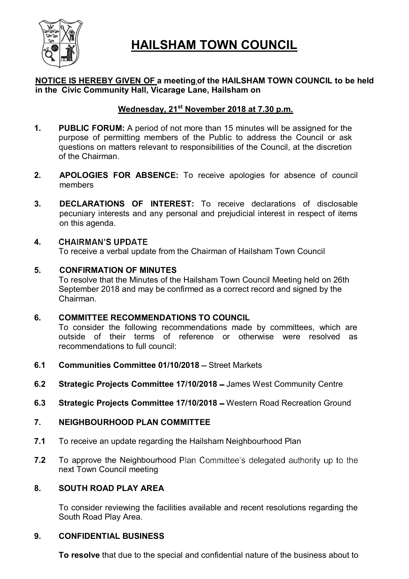

# **HAILSHAM TOWN COUNCIL**

### **NOTICE IS HEREBY GIVEN OF a meeting of the HAILSHAM TOWN COUNCIL to be held in the Civic Community Hall, Vicarage Lane, Hailsham on**

## **Wednesday, 21 st November 2018 at 7.30 p.m.**

- **1. PUBLIC FORUM:** A period of not more than 15 minutes will be assigned for the purpose of permitting members of the Public to address the Council or ask questions on matters relevant to responsibilities of the Council, at the discretion of the Chairman.
- **2. APOLOGIES FOR ABSENCE:** To receive apologies for absence of council members
- **3. DECLARATIONS OF INTEREST:** To receive declarations of disclosable pecuniary interests and any personal and prejudicial interest in respect of items on this agenda.

#### **4. CHAIRMAN'S UPDATE**

To receive a verbal update from the Chairman of Hailsham Town Council

### **5. CONFIRMATION OF MINUTES**

To resolve that the Minutes of the Hailsham Town Council Meeting held on 26th September 2018 and may be confirmed as a correct record and signed by the Chairman.

### **6. COMMITTEE RECOMMENDATIONS TO COUNCIL**

To consider the following recommendations made by committees, which are outside of their terms of reference or otherwise were resolved as recommendations to full council:

- **6.1 Communities Committee 01/10/2018 Street Markets**
- **6.2 Strategic Projects Committee 17/10/2018 James West Community Centre**
- **6.3 Strategic Projects Committee 17/10/2018 Western Road Recreation Ground**

### **7. NEIGHBOURHOOD PLAN COMMITTEE**

- **7.1** To receive an update regarding the Hailsham Neighbourhood Plan
- **7.2** To approve the Neighbourhood Plan Committee's delegated authority up to the next Town Council meeting

### **8. SOUTH ROAD PLAY AREA**

To consider reviewing the facilities available and recent resolutions regarding the South Road Play Area.

### **9. CONFIDENTIAL BUSINESS**

**To resolve** that due to the special and confidential nature of the business about to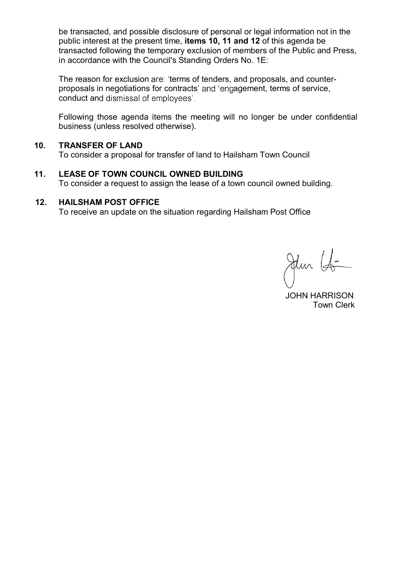be transacted, and possible disclosure of personal or legal information not in the public interest at the present time, **items 10, 11 and 12** of this agenda be transacted following the temporary exclusion of members of the Public and Press, in accordance with the Council's Standing Orders No. 1E:

The reason for exclusion are: 'terms of tenders, and proposals, and counterproposals in negotiations for contracts' and 'engagement, terms of service, conduct and dismissal of employees'.

Following those agenda items the meeting will no longer be under confidential business (unless resolved otherwise).

### **10. TRANSFER OF LAND**

To consider a proposal for transfer of land to Hailsham Town Council

**11. LEASE OF TOWN COUNCIL OWNED BUILDING** To consider a request to assign the lease of a town council owned building.

#### **12. HAILSHAM POST OFFICE**

To receive an update on the situation regarding Hailsham Post Office

Jehn Lo

 JOHN HARRISON Town Clerk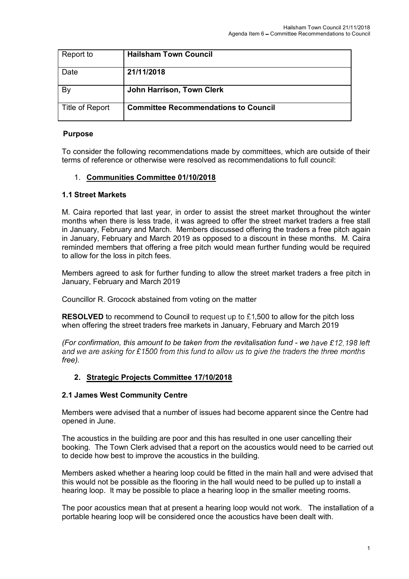| Report to       | <b>Hailsham Town Council</b>                |
|-----------------|---------------------------------------------|
| Date            | 21/11/2018                                  |
| By              | John Harrison, Town Clerk                   |
| Title of Report | <b>Committee Recommendations to Council</b> |

#### **Purpose**

To consider the following recommendations made by committees, which are outside of their terms of reference or otherwise were resolved as recommendations to full council:

#### 1. **Communities Committee 01/10/2018**

#### **1.1 Street Markets**

M. Caira reported that last year, in order to assist the street market throughout the winter months when there is less trade, it was agreed to offer the street market traders a free stall in January, February and March. Members discussed offering the traders a free pitch again in January, February and March 2019 as opposed to a discount in these months. M. Caira reminded members that offering a free pitch would mean further funding would be required to allow for the loss in pitch fees.

Members agreed to ask for further funding to allow the street market traders a free pitch in January, February and March 2019

Councillor R. Grocock abstained from voting on the matter

**RESOLVED** to recommend to Council to request up to £1,500 to allow for the pitch loss when offering the street traders free markets in January, February and March 2019

*(For confirmation, this amount to be taken from the revitalisation fund - we have £12,198 left* and *we are asking for £1500 from this fund to allow us to give the traders the three months free).*

#### **2. Strategic Projects Committee 17/10/2018**

#### **2.1 James West Community Centre**

Members were advised that a number of issues had become apparent since the Centre had opened in June.

The acoustics in the building are poor and this has resulted in one user cancelling their booking. The Town Clerk advised that a report on the acoustics would need to be carried out to decide how best to improve the acoustics in the building.

Members asked whether a hearing loop could be fitted in the main hall and were advised that this would not be possible as the flooring in the hall would need to be pulled up to install a hearing loop. It may be possible to place a hearing loop in the smaller meeting rooms.

The poor acoustics mean that at present a hearing loop would not work. The installation of a portable hearing loop will be considered once the acoustics have been dealt with.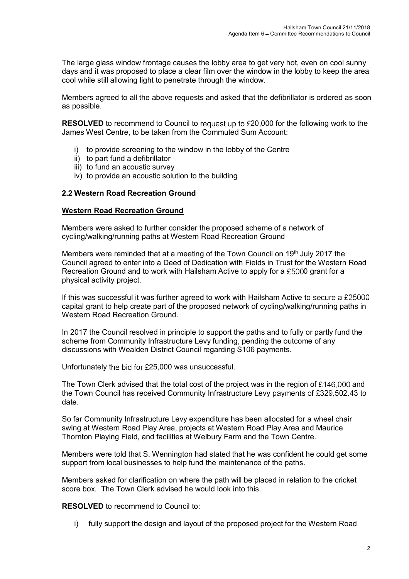The large glass window frontage causes the lobby area to get very hot, even on cool sunny days and it was proposed to place a clear film over the window in the lobby to keep the area cool while still allowing light to penetrate through the window.

Members agreed to all the above requests and asked that the defibrillator is ordered as soon as possible.

**RESOLVED** to recommend to Council to request up to £20,000 for the following work to the James West Centre, to be taken from the Commuted Sum Account:

- i) to provide screening to the window in the lobby of the Centre
- ii) to part fund a defibrillator
- iii) to fund an acoustic survey
- iv) to provide an acoustic solution to the building

#### **2.2 Western Road Recreation Ground**

#### **Western Road Recreation Ground**

Members were asked to further consider the proposed scheme of a network of cycling/walking/running paths at Western Road Recreation Ground

Members were reminded that at a meeting of the Town Council on 19<sup>th</sup> July 2017 the Council agreed to enter into a Deed of Dedication with Fields in Trust for the Western Road Recreation Ground and to work with Hailsham Active to apply for a £5000 grant for a physical activity project.

If this was successful it was further agreed to work with Hailsham Active to secure a £25000 capital grant to help create part of the proposed network of cycling/walking/running paths in Western Road Recreation Ground.

In 2017 the Council resolved in principle to support the paths and to fully or partly fund the scheme from Community Infrastructure Levy funding, pending the outcome of any discussions with Wealden District Council regarding S106 payments.

Unfortunately the bid for £25,000 was unsuccessful.

The Town Clerk advised that the total cost of the project was in the region of £146,000 and the Town Council has received Community Infrastructure Levy payments of £329,502.43 to date.

So far Community Infrastructure Levy expenditure has been allocated for a wheel chair swing at Western Road Play Area, projects at Western Road Play Area and Maurice Thornton Playing Field, and facilities at Welbury Farm and the Town Centre.

Members were told that S. Wennington had stated that he was confident he could get some support from local businesses to help fund the maintenance of the paths.

Members asked for clarification on where the path will be placed in relation to the cricket score box. The Town Clerk advised he would look into this.

**RESOLVED** to recommend to Council to:

i) fully support the design and layout of the proposed project for the Western Road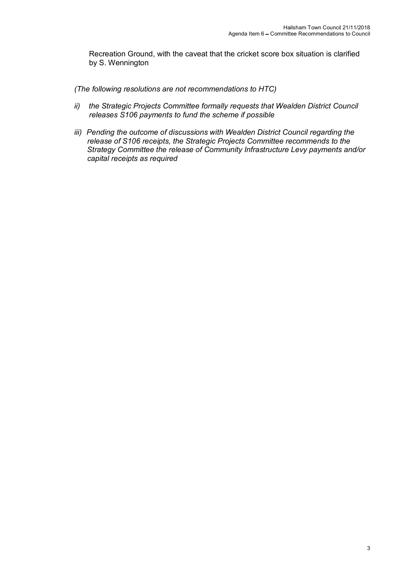Recreation Ground, with the caveat that the cricket score box situation is clarified by S. Wennington

*(The following resolutions are not recommendations to HTC)*

- *ii) the Strategic Projects Committee formally requests that Wealden District Council releases S106 payments to fund the scheme if possible*
- *iii) Pending the outcome of discussions with Wealden District Council regarding the release of S106 receipts, the Strategic Projects Committee recommends to the Strategy Committee the release of Community Infrastructure Levy payments and/or capital receipts as required*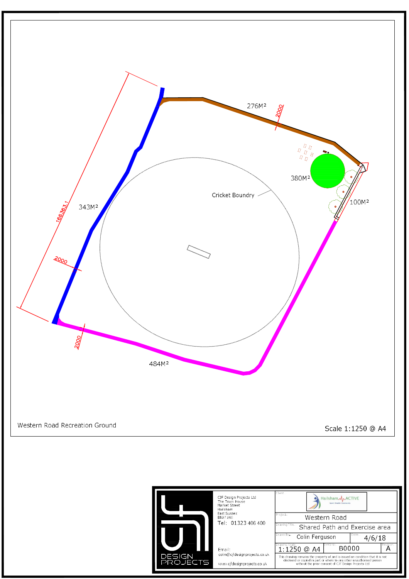

| DESIGN<br>PROJECTS' | CJF Design Projects Ltd<br>The Town House<br>Market Street<br>Hailsham<br>East Sussex<br><b>BN27 2AF</b><br>Tel: 01323 406 400<br>Email:<br>colin@cjfdesignprojects.co.uk<br>www.cjfdesignprojects.co.uk | Client<br>Hailsham MACTIVE<br>Sport   Health   Community                                                                                                                                                        |
|---------------------|----------------------------------------------------------------------------------------------------------------------------------------------------------------------------------------------------------|-----------------------------------------------------------------------------------------------------------------------------------------------------------------------------------------------------------------|
|                     |                                                                                                                                                                                                          | Project<br>Western Road                                                                                                                                                                                         |
|                     |                                                                                                                                                                                                          | Drawing Title<br>Shared Path and Exercise area                                                                                                                                                                  |
|                     |                                                                                                                                                                                                          | Drawn By<br>Date<br>Colin Ferguson<br>4/6/18                                                                                                                                                                    |
|                     |                                                                                                                                                                                                          | DWG No<br>Revision<br>l Drawing Scale<br>B0000<br>1:1250<br>@ A4                                                                                                                                                |
|                     |                                                                                                                                                                                                          | This drawing remains the property of and is issued on condition that it is not<br>disclosed or copied in part or whole to any other unauthorised person<br>without the prior consent of CJF Design Projects Ltd |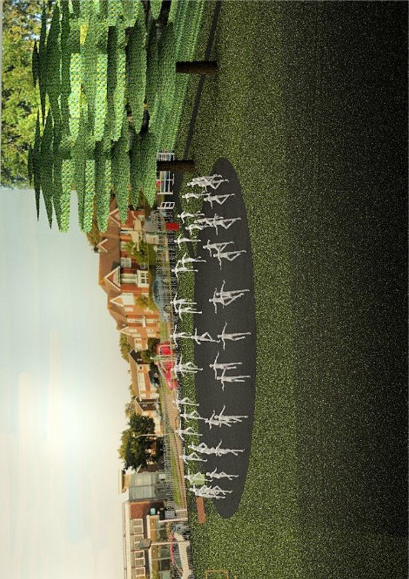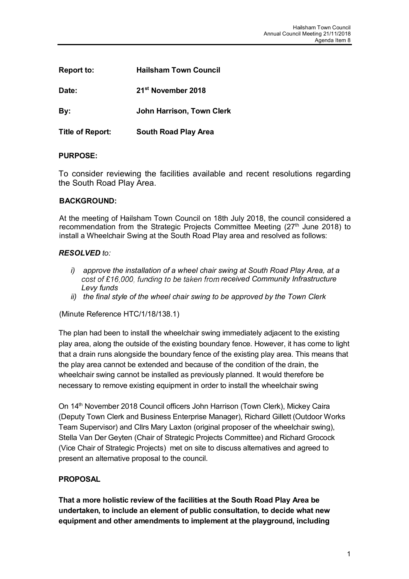| <b>Report to:</b>       | <b>Hailsham Town Council</b>     |
|-------------------------|----------------------------------|
| Date:                   | 21 <sup>st</sup> November 2018   |
| By:                     | <b>John Harrison, Town Clerk</b> |
| <b>Title of Report:</b> | <b>South Road Play Area</b>      |

### **PURPOSE:**

To consider reviewing the facilities available and recent resolutions regarding the South Road Play Area.

### **BACKGROUND:**

At the meeting of Hailsham Town Council on 18th July 2018, the council considered a recommendation from the Strategic Projects Committee Meeting (27<sup>th</sup> June 2018) to install a Wheelchair Swing at the South Road Play area and resolved as follows:

#### *RESOLVED to:*

- *i) approve the installation of a wheel chair swing at South Road Play Area, at a* cost of £16,000, funding to be taken from received Community Infrastructure  *Levy funds*
- *ii) the final style of the wheel chair swing to be approved by the Town Clerk*

(Minute Reference HTC/1/18/138.1)

The plan had been to install the wheelchair swing immediately adjacent to the existing play area, along the outside of the existing boundary fence. However, it has come to light that a drain runs alongside the boundary fence of the existing play area. This means that the play area cannot be extended and because of the condition of the drain, the wheelchair swing cannot be installed as previously planned. It would therefore be necessary to remove existing equipment in order to install the wheelchair swing

On 14<sup>th</sup> November 2018 Council officers John Harrison (Town Clerk), Mickey Caira (Deputy Town Clerk and Business Enterprise Manager), Richard Gillett (Outdoor Works Team Supervisor) and Cllrs Mary Laxton (original proposer of the wheelchair swing), Stella Van Der Geyten (Chair of Strategic Projects Committee) and Richard Grocock (Vice Chair of Strategic Projects) met on site to discuss alternatives and agreed to present an alternative proposal to the council.

### **PROPOSAL**

**That a more holistic review of the facilities at the South Road Play Area be undertaken, to include an element of public consultation, to decide what new equipment and other amendments to implement at the playground, including**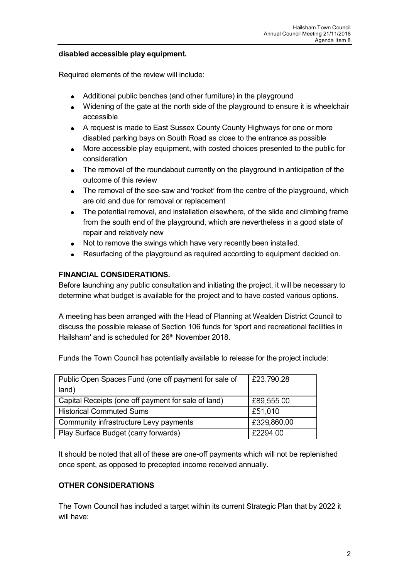#### **disabled accessible play equipment.**

Required elements of the review will include:

- Additional public benches (and other furniture) in the playground
- Widening of the gate at the north side of the playground to ensure it is wheelchair accessible
- A request is made to East Sussex County County Highways for one or more disabled parking bays on South Road as close to the entrance as possible
- More accessible play equipment, with costed choices presented to the public for consideration
- The removal of the roundabout currently on the playground in anticipation of the outcome of this review
- The removal of the see-saw and 'rocket' from the centre of the playground, which are old and due for removal or replacement
- The potential removal, and installation elsewhere, of the slide and climbing frame from the south end of the playground, which are nevertheless in a good state of repair and relatively new
- Not to remove the swings which have very recently been installed.
- Resurfacing of the playground as required according to equipment decided on.

### **FINANCIAL CONSIDERATIONS.**

Before launching any public consultation and initiating the project, it will be necessary to determine what budget is available for the project and to have costed various options.

A meeting has been arranged with the Head of Planning at Wealden District Council to discuss the possible release of Section 106 funds for 'sport and recreational facilities in Hailsham' and is scheduled for 26<sup>th</sup> November 2018.

Funds the Town Council has potentially available to release for the project include:

| Public Open Spaces Fund (one off payment for sale of | £23,790.28  |
|------------------------------------------------------|-------------|
| land)                                                |             |
| Capital Receipts (one off payment for sale of land)  | £89,555.00  |
| <b>Historical Commuted Sums</b>                      | £51,010     |
| Community infrastructure Levy payments               | £329,860.00 |
| Play Surface Budget (carry forwards)                 | £2294.00    |

It should be noted that all of these are one-off payments which will not be replenished once spent, as opposed to precepted income received annually.

### **OTHER CONSIDERATIONS**

The Town Council has included a target within its current Strategic Plan that by 2022 it will have: